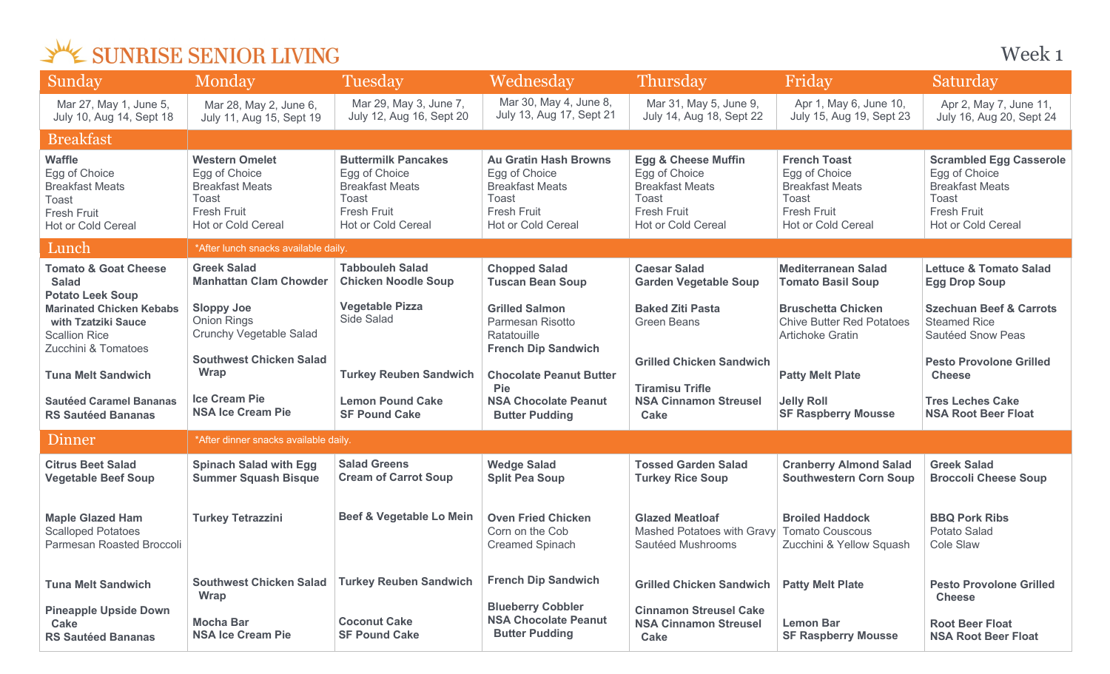| Sunday                                                                                                        | Monday                                                                                                                | Tuesday                                                                                                                           | Wednesday                                                                                                             | Thursday                                                                                                                       | Friday                                                                                                              | Saturday                                                                                                                       |  |
|---------------------------------------------------------------------------------------------------------------|-----------------------------------------------------------------------------------------------------------------------|-----------------------------------------------------------------------------------------------------------------------------------|-----------------------------------------------------------------------------------------------------------------------|--------------------------------------------------------------------------------------------------------------------------------|---------------------------------------------------------------------------------------------------------------------|--------------------------------------------------------------------------------------------------------------------------------|--|
| Mar 27, May 1, June 5,<br>July 10, Aug 14, Sept 18                                                            | Mar 28, May 2, June 6,<br>July 11, Aug 15, Sept 19                                                                    | Mar 29, May 3, June 7,<br>July 12, Aug 16, Sept 20                                                                                | Mar 30, May 4, June 8,<br>July 13, Aug 17, Sept 21                                                                    | Mar 31, May 5, June 9,<br>July 14, Aug 18, Sept 22                                                                             | Apr 1, May 6, June 10,<br>July 15, Aug 19, Sept 23                                                                  | Apr 2, May 7, June 11,<br>July 16, Aug 20, Sept 24                                                                             |  |
| <b>Breakfast</b>                                                                                              |                                                                                                                       |                                                                                                                                   |                                                                                                                       |                                                                                                                                |                                                                                                                     |                                                                                                                                |  |
| <b>Waffle</b><br>Egg of Choice<br><b>Breakfast Meats</b><br>Toast<br><b>Fresh Fruit</b><br>Hot or Cold Cereal | <b>Western Omelet</b><br>Egg of Choice<br><b>Breakfast Meats</b><br>Toast<br><b>Fresh Fruit</b><br>Hot or Cold Cereal | <b>Buttermilk Pancakes</b><br>Egg of Choice<br><b>Breakfast Meats</b><br>Toast<br><b>Fresh Fruit</b><br><b>Hot or Cold Cereal</b> | <b>Au Gratin Hash Browns</b><br>Egg of Choice<br><b>Breakfast Meats</b><br>Toast<br>Fresh Fruit<br>Hot or Cold Cereal | <b>Egg &amp; Cheese Muffin</b><br>Egg of Choice<br><b>Breakfast Meats</b><br>Toast<br><b>Fresh Fruit</b><br>Hot or Cold Cereal | <b>French Toast</b><br>Egg of Choice<br><b>Breakfast Meats</b><br>Toast<br><b>Fresh Fruit</b><br>Hot or Cold Cereal | <b>Scrambled Egg Casserole</b><br>Egg of Choice<br><b>Breakfast Meats</b><br>Toast<br><b>Fresh Fruit</b><br>Hot or Cold Cereal |  |
| Lunch                                                                                                         | *After lunch snacks available daily.                                                                                  |                                                                                                                                   |                                                                                                                       |                                                                                                                                |                                                                                                                     |                                                                                                                                |  |
| <b>Tomato &amp; Goat Cheese</b><br><b>Salad</b><br><b>Potato Leek Soup</b>                                    | <b>Greek Salad</b><br><b>Manhattan Clam Chowder</b>                                                                   | <b>Tabbouleh Salad</b><br><b>Chicken Noodle Soup</b>                                                                              | <b>Chopped Salad</b><br><b>Tuscan Bean Soup</b>                                                                       | <b>Caesar Salad</b><br><b>Garden Vegetable Soup</b>                                                                            | <b>Mediterranean Salad</b><br><b>Tomato Basil Soup</b>                                                              | <b>Lettuce &amp; Tomato Salad</b><br><b>Egg Drop Soup</b>                                                                      |  |
| <b>Marinated Chicken Kebabs</b><br>with Tzatziki Sauce<br><b>Scallion Rice</b><br>Zucchini & Tomatoes         | <b>Sloppy Joe</b><br>Onion Rings<br><b>Crunchy Vegetable Salad</b><br><b>Southwest Chicken Salad</b>                  | <b>Vegetable Pizza</b><br>Side Salad                                                                                              | <b>Grilled Salmon</b><br>Parmesan Risotto<br>Ratatouille<br><b>French Dip Sandwich</b>                                | <b>Baked Ziti Pasta</b><br><b>Green Beans</b><br><b>Grilled Chicken Sandwich</b>                                               | <b>Bruschetta Chicken</b><br><b>Chive Butter Red Potatoes</b><br><b>Artichoke Gratin</b>                            | <b>Szechuan Beef &amp; Carrots</b><br><b>Steamed Rice</b><br>Sautéed Snow Peas<br><b>Pesto Provolone Grilled</b>               |  |
| <b>Tuna Melt Sandwich</b>                                                                                     | <b>Wrap</b>                                                                                                           | <b>Turkey Reuben Sandwich</b>                                                                                                     | <b>Chocolate Peanut Butter</b>                                                                                        |                                                                                                                                | <b>Patty Melt Plate</b>                                                                                             | <b>Cheese</b>                                                                                                                  |  |
| <b>Sautéed Caramel Bananas</b><br><b>RS Sautéed Bananas</b>                                                   | <b>Ice Cream Pie</b><br><b>NSA Ice Cream Pie</b>                                                                      | <b>Lemon Pound Cake</b><br><b>SF Pound Cake</b>                                                                                   | <b>Pie</b><br><b>NSA Chocolate Peanut</b><br><b>Butter Pudding</b>                                                    | <b>Tiramisu Trifle</b><br><b>NSA Cinnamon Streusel</b><br><b>Cake</b>                                                          | <b>Jelly Roll</b><br><b>SF Raspberry Mousse</b>                                                                     | <b>Tres Leches Cake</b><br><b>NSA Root Beer Float</b>                                                                          |  |
| Dinner                                                                                                        | *After dinner snacks available daily.                                                                                 |                                                                                                                                   |                                                                                                                       |                                                                                                                                |                                                                                                                     |                                                                                                                                |  |
| <b>Citrus Beet Salad</b><br><b>Vegetable Beef Soup</b>                                                        | <b>Spinach Salad with Egg</b><br><b>Summer Squash Bisque</b>                                                          | <b>Salad Greens</b><br><b>Cream of Carrot Soup</b>                                                                                | <b>Wedge Salad</b><br><b>Split Pea Soup</b>                                                                           | <b>Tossed Garden Salad</b><br><b>Turkey Rice Soup</b>                                                                          | <b>Cranberry Almond Salad</b><br><b>Southwestern Corn Soup</b>                                                      | <b>Greek Salad</b><br><b>Broccoli Cheese Soup</b>                                                                              |  |
| <b>Maple Glazed Ham</b><br><b>Scalloped Potatoes</b><br>Parmesan Roasted Broccoli                             | <b>Turkey Tetrazzini</b>                                                                                              | Beef & Vegetable Lo Mein                                                                                                          | <b>Oven Fried Chicken</b><br>Corn on the Cob<br><b>Creamed Spinach</b>                                                | <b>Glazed Meatloaf</b><br><b>Mashed Potatoes with Gravy</b><br>Sautéed Mushrooms                                               | <b>Broiled Haddock</b><br><b>Tomato Couscous</b><br>Zucchini & Yellow Squash                                        | <b>BBQ Pork Ribs</b><br>Potato Salad<br><b>Cole Slaw</b>                                                                       |  |
| <b>Tuna Melt Sandwich</b>                                                                                     | <b>Southwest Chicken Salad</b><br><b>Wrap</b>                                                                         | <b>Turkey Reuben Sandwich</b>                                                                                                     | <b>French Dip Sandwich</b>                                                                                            | <b>Grilled Chicken Sandwich</b>                                                                                                | <b>Patty Melt Plate</b>                                                                                             | <b>Pesto Provolone Grilled</b><br><b>Cheese</b>                                                                                |  |
| <b>Pineapple Upside Down</b><br>Cake<br><b>RS Sautéed Bananas</b>                                             | <b>Mocha Bar</b><br><b>NSA Ice Cream Pie</b>                                                                          | <b>Coconut Cake</b><br><b>SF Pound Cake</b>                                                                                       | <b>Blueberry Cobbler</b><br><b>NSA Chocolate Peanut</b><br><b>Butter Pudding</b>                                      | <b>Cinnamon Streusel Cake</b><br><b>NSA Cinnamon Streusel</b><br><b>Cake</b>                                                   | <b>Lemon Bar</b><br><b>SF Raspberry Mousse</b>                                                                      | <b>Root Beer Float</b><br><b>NSA Root Beer Float</b>                                                                           |  |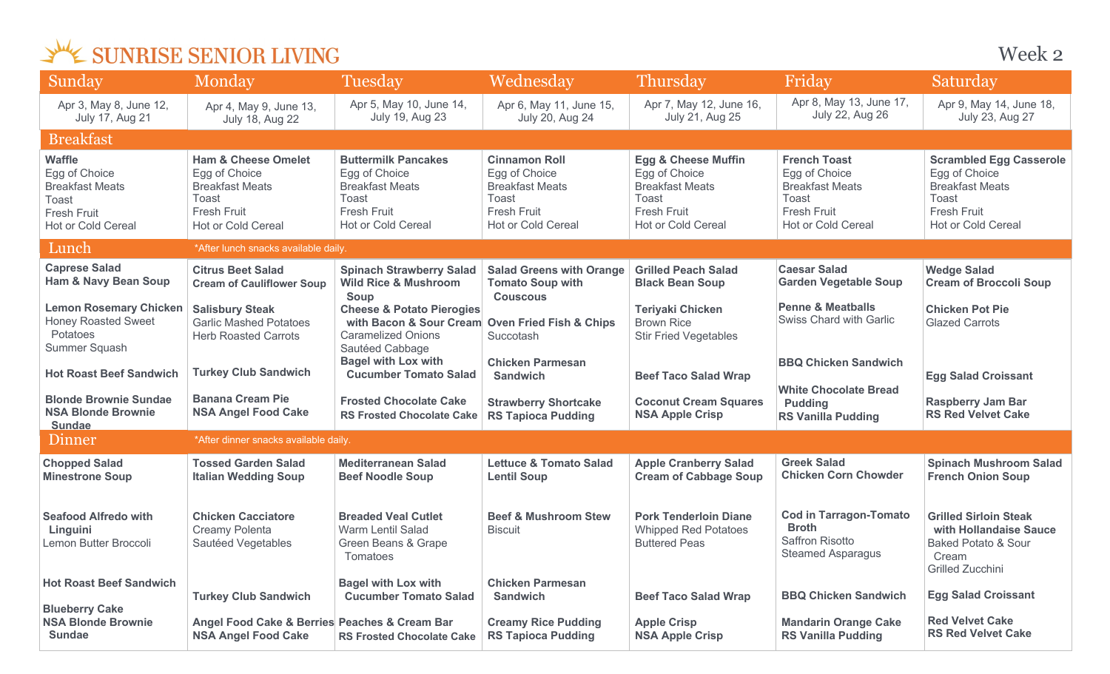| Sunday                                                                                                 | Monday                                                                                                                         | Tuesday                                                                                                                                 | Wednesday                                                                                                                   | Thursday                                                                                                                       | Friday                                                                                                              | Saturday                                                                                                                |
|--------------------------------------------------------------------------------------------------------|--------------------------------------------------------------------------------------------------------------------------------|-----------------------------------------------------------------------------------------------------------------------------------------|-----------------------------------------------------------------------------------------------------------------------------|--------------------------------------------------------------------------------------------------------------------------------|---------------------------------------------------------------------------------------------------------------------|-------------------------------------------------------------------------------------------------------------------------|
| Apr 3, May 8, June 12,<br>July 17, Aug 21                                                              | Apr 4, May 9, June 13,<br><b>July 18, Aug 22</b>                                                                               | Apr 5, May 10, June 14,<br><b>July 19, Aug 23</b>                                                                                       | Apr 6, May 11, June 15,<br>July 20, Aug 24                                                                                  | Apr 7, May 12, June 16,<br>July 21, Aug 25                                                                                     | Apr 8, May 13, June 17,<br>July 22, Aug 26                                                                          | Apr 9, May 14, June 18,<br>July 23, Aug 27                                                                              |
| <b>Breakfast</b>                                                                                       |                                                                                                                                |                                                                                                                                         |                                                                                                                             |                                                                                                                                |                                                                                                                     |                                                                                                                         |
| <b>Waffle</b><br>Egg of Choice<br><b>Breakfast Meats</b><br>Toast<br>Fresh Fruit<br>Hot or Cold Cereal | <b>Ham &amp; Cheese Omelet</b><br>Egg of Choice<br><b>Breakfast Meats</b><br>Toast<br><b>Fresh Fruit</b><br>Hot or Cold Cereal | <b>Buttermilk Pancakes</b><br>Egg of Choice<br><b>Breakfast Meats</b><br>Toast<br><b>Fresh Fruit</b><br><b>Hot or Cold Cereal</b>       | <b>Cinnamon Roll</b><br>Egg of Choice<br><b>Breakfast Meats</b><br>Toast<br><b>Fresh Fruit</b><br><b>Hot or Cold Cereal</b> | <b>Egg &amp; Cheese Muffin</b><br>Egg of Choice<br><b>Breakfast Meats</b><br>Toast<br><b>Fresh Fruit</b><br>Hot or Cold Cereal | <b>French Toast</b><br>Egg of Choice<br><b>Breakfast Meats</b><br>Toast<br>Fresh Fruit<br><b>Hot or Cold Cereal</b> | <b>Scrambled Egg Casserole</b><br>Egg of Choice<br><b>Breakfast Meats</b><br>Toast<br>Fresh Fruit<br>Hot or Cold Cereal |
| Lunch                                                                                                  | *After lunch snacks available daily.                                                                                           |                                                                                                                                         |                                                                                                                             |                                                                                                                                |                                                                                                                     |                                                                                                                         |
| <b>Caprese Salad</b><br><b>Ham &amp; Navy Bean Soup</b>                                                | <b>Citrus Beet Salad</b><br><b>Cream of Cauliflower Soup</b>                                                                   | <b>Spinach Strawberry Salad</b><br><b>Wild Rice &amp; Mushroom</b><br>Soup                                                              | <b>Salad Greens with Orange</b><br><b>Tomato Soup with</b><br><b>Couscous</b>                                               | <b>Grilled Peach Salad</b><br><b>Black Bean Soup</b>                                                                           | <b>Caesar Salad</b><br><b>Garden Vegetable Soup</b>                                                                 | <b>Wedge Salad</b><br><b>Cream of Broccoli Soup</b>                                                                     |
| <b>Lemon Rosemary Chicken</b><br><b>Honey Roasted Sweet</b><br>Potatoes<br>Summer Squash               | <b>Salisbury Steak</b><br><b>Garlic Mashed Potatoes</b><br><b>Herb Roasted Carrots</b>                                         | <b>Cheese &amp; Potato Pierogies</b><br>with Bacon & Sour Cream Oven Fried Fish & Chips<br><b>Caramelized Onions</b><br>Sautéed Cabbage | Succotash                                                                                                                   | <b>Teriyaki Chicken</b><br><b>Brown Rice</b><br><b>Stir Fried Vegetables</b>                                                   | <b>Penne &amp; Meatballs</b><br><b>Swiss Chard with Garlic</b>                                                      | <b>Chicken Pot Pie</b><br><b>Glazed Carrots</b>                                                                         |
| <b>Hot Roast Beef Sandwich</b>                                                                         | <b>Turkey Club Sandwich</b>                                                                                                    | <b>Bagel with Lox with</b><br><b>Cucumber Tomato Salad</b>                                                                              | <b>Chicken Parmesan</b><br><b>Sandwich</b>                                                                                  | <b>Beef Taco Salad Wrap</b>                                                                                                    | <b>BBQ Chicken Sandwich</b>                                                                                         | <b>Egg Salad Croissant</b>                                                                                              |
| <b>Blonde Brownie Sundae</b><br><b>NSA Blonde Brownie</b><br><b>Sundae</b>                             | <b>Banana Cream Pie</b><br><b>NSA Angel Food Cake</b>                                                                          | <b>Frosted Chocolate Cake</b><br><b>RS Frosted Chocolate Cake</b>                                                                       | <b>Strawberry Shortcake</b><br><b>RS Tapioca Pudding</b>                                                                    | <b>Coconut Cream Squares</b><br><b>NSA Apple Crisp</b>                                                                         | <b>White Chocolate Bread</b><br><b>Pudding</b><br><b>RS Vanilla Pudding</b>                                         | <b>Raspberry Jam Bar</b><br><b>RS Red Velvet Cake</b>                                                                   |
| Dinner                                                                                                 | *After dinner snacks available daily.                                                                                          |                                                                                                                                         |                                                                                                                             |                                                                                                                                |                                                                                                                     |                                                                                                                         |
| <b>Chopped Salad</b><br><b>Minestrone Soup</b>                                                         | <b>Tossed Garden Salad</b><br><b>Italian Wedding Soup</b>                                                                      | <b>Mediterranean Salad</b><br><b>Beef Noodle Soup</b>                                                                                   | <b>Lettuce &amp; Tomato Salad</b><br><b>Lentil Soup</b>                                                                     | <b>Apple Cranberry Salad</b><br><b>Cream of Cabbage Soup</b>                                                                   | <b>Greek Salad</b><br><b>Chicken Corn Chowder</b>                                                                   | <b>Spinach Mushroom Salad</b><br><b>French Onion Soup</b>                                                               |
| <b>Seafood Alfredo with</b><br>Linguini<br>Lemon Butter Broccoli                                       | <b>Chicken Cacciatore</b><br>Creamy Polenta<br>Sautéed Vegetables                                                              | <b>Breaded Veal Cutlet</b><br><b>Warm Lentil Salad</b><br>Green Beans & Grape<br>Tomatoes                                               | <b>Beef &amp; Mushroom Stew</b><br><b>Biscuit</b>                                                                           | <b>Pork Tenderloin Diane</b><br><b>Whipped Red Potatoes</b><br><b>Buttered Peas</b>                                            | <b>Cod in Tarragon-Tomato</b><br><b>Broth</b><br><b>Saffron Risotto</b><br><b>Steamed Asparagus</b>                 | <b>Grilled Sirloin Steak</b><br>with Hollandaise Sauce<br><b>Baked Potato &amp; Sour</b><br>Cream<br>Grilled Zucchini   |
| <b>Hot Roast Beef Sandwich</b><br><b>Blueberry Cake</b>                                                | <b>Turkey Club Sandwich</b>                                                                                                    | <b>Bagel with Lox with</b><br><b>Cucumber Tomato Salad</b>                                                                              | <b>Chicken Parmesan</b><br><b>Sandwich</b>                                                                                  | <b>Beef Taco Salad Wrap</b>                                                                                                    | <b>BBQ Chicken Sandwich</b>                                                                                         | <b>Egg Salad Croissant</b>                                                                                              |
| <b>NSA Blonde Brownie</b><br><b>Sundae</b>                                                             | Angel Food Cake & Berries Peaches & Cream Bar<br><b>NSA Angel Food Cake</b>                                                    | <b>RS Frosted Chocolate Cake</b>                                                                                                        | <b>Creamy Rice Pudding</b><br><b>RS Tapioca Pudding</b>                                                                     | <b>Apple Crisp</b><br><b>NSA Apple Crisp</b>                                                                                   | <b>Mandarin Orange Cake</b><br><b>RS Vanilla Pudding</b>                                                            | <b>Red Velvet Cake</b><br><b>RS Red Velvet Cake</b>                                                                     |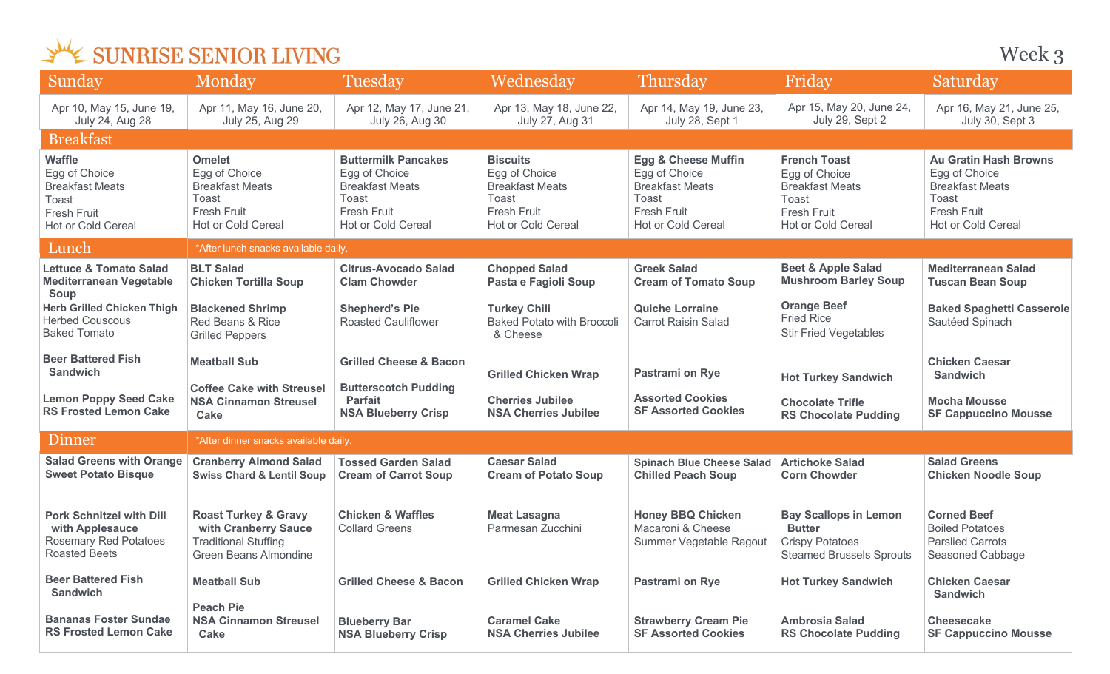Week 3

| Sunday                                                                                                     | Monday                                                                                                          | Tuesday                                                                                                                    | Wednesday                                                                                                              | Thursday                                                                                                                       | Friday                                                                                                              | Saturday                                                                                                                     |
|------------------------------------------------------------------------------------------------------------|-----------------------------------------------------------------------------------------------------------------|----------------------------------------------------------------------------------------------------------------------------|------------------------------------------------------------------------------------------------------------------------|--------------------------------------------------------------------------------------------------------------------------------|---------------------------------------------------------------------------------------------------------------------|------------------------------------------------------------------------------------------------------------------------------|
| Apr 10, May 15, June 19,<br><b>July 24, Aug 28</b>                                                         | Apr 11, May 16, June 20,<br>July 25, Aug 29                                                                     | Apr 12, May 17, June 21,<br>July 26, Aug 30                                                                                | Apr 13, May 18, June 22,<br>July 27, Aug 31                                                                            | Apr 14, May 19, June 23,<br>July 28, Sept 1                                                                                    | Apr 15, May 20, June 24,<br>July 29, Sept 2                                                                         | Apr 16, May 21, June 25,<br>July 30, Sept 3                                                                                  |
| <b>Breakfast</b>                                                                                           |                                                                                                                 |                                                                                                                            |                                                                                                                        |                                                                                                                                |                                                                                                                     |                                                                                                                              |
| <b>Waffle</b><br>Egg of Choice<br><b>Breakfast Meats</b><br>Toast<br>Fresh Fruit<br>Hot or Cold Cereal     | <b>Omelet</b><br>Egg of Choice<br><b>Breakfast Meats</b><br>Toast<br>Fresh Fruit<br><b>Hot or Cold Cereal</b>   | <b>Buttermilk Pancakes</b><br>Egg of Choice<br><b>Breakfast Meats</b><br>Toast<br><b>Fresh Fruit</b><br>Hot or Cold Cereal | <b>Biscuits</b><br>Egg of Choice<br><b>Breakfast Meats</b><br>Toast<br><b>Fresh Fruit</b><br><b>Hot or Cold Cereal</b> | <b>Egg &amp; Cheese Muffin</b><br>Egg of Choice<br><b>Breakfast Meats</b><br>Toast<br>Fresh Fruit<br><b>Hot or Cold Cereal</b> | <b>French Toast</b><br>Egg of Choice<br><b>Breakfast Meats</b><br>Toast<br><b>Fresh Fruit</b><br>Hot or Cold Cereal | <b>Au Gratin Hash Browns</b><br>Egg of Choice<br><b>Breakfast Meats</b><br>Toast<br><b>Fresh Fruit</b><br>Hot or Cold Cereal |
| Lunch                                                                                                      | *After lunch snacks available daily.                                                                            |                                                                                                                            |                                                                                                                        |                                                                                                                                |                                                                                                                     |                                                                                                                              |
| <b>Lettuce &amp; Tomato Salad</b><br><b>Mediterranean Vegetable</b><br><b>Soup</b>                         | <b>BLT Salad</b><br><b>Chicken Tortilla Soup</b>                                                                | <b>Citrus-Avocado Salad</b><br><b>Clam Chowder</b>                                                                         | <b>Chopped Salad</b><br>Pasta e Fagioli Soup                                                                           | <b>Greek Salad</b><br><b>Cream of Tomato Soup</b>                                                                              | <b>Beet &amp; Apple Salad</b><br><b>Mushroom Barley Soup</b>                                                        | <b>Mediterranean Salad</b><br><b>Tuscan Bean Soup</b>                                                                        |
| <b>Herb Grilled Chicken Thigh</b><br><b>Herbed Couscous</b><br><b>Baked Tomato</b>                         | <b>Blackened Shrimp</b><br>Red Beans & Rice<br><b>Grilled Peppers</b>                                           | <b>Shepherd's Pie</b><br><b>Roasted Cauliflower</b>                                                                        | <b>Turkey Chili</b><br><b>Baked Potato with Broccoli</b><br>& Cheese                                                   | <b>Quiche Lorraine</b><br><b>Carrot Raisin Salad</b>                                                                           | <b>Orange Beef</b><br><b>Fried Rice</b><br><b>Stir Fried Vegetables</b>                                             | <b>Baked Spaghetti Casserole</b><br>Sautéed Spinach                                                                          |
| <b>Beer Battered Fish</b><br><b>Sandwich</b>                                                               | <b>Meatball Sub</b>                                                                                             | <b>Grilled Cheese &amp; Bacon</b>                                                                                          | <b>Grilled Chicken Wrap</b>                                                                                            | <b>Pastrami on Rye</b>                                                                                                         | <b>Hot Turkey Sandwich</b>                                                                                          | <b>Chicken Caesar</b><br><b>Sandwich</b>                                                                                     |
| <b>Lemon Poppy Seed Cake</b><br><b>RS Frosted Lemon Cake</b>                                               | <b>Coffee Cake with Streusel</b><br><b>NSA Cinnamon Streusel</b><br>Cake                                        | <b>Butterscotch Pudding</b><br><b>Parfait</b><br><b>NSA Blueberry Crisp</b>                                                | <b>Cherries Jubilee</b><br><b>NSA Cherries Jubilee</b>                                                                 | <b>Assorted Cookies</b><br><b>SF Assorted Cookies</b>                                                                          | <b>Chocolate Trifle</b><br><b>RS Chocolate Pudding</b>                                                              | <b>Mocha Mousse</b><br><b>SF Cappuccino Mousse</b>                                                                           |
| Dinner                                                                                                     | *After dinner snacks available daily.                                                                           |                                                                                                                            |                                                                                                                        |                                                                                                                                |                                                                                                                     |                                                                                                                              |
| <b>Salad Greens with Orange</b><br><b>Sweet Potato Bisque</b>                                              | <b>Cranberry Almond Salad</b><br><b>Swiss Chard &amp; Lentil Soup</b>                                           | <b>Tossed Garden Salad</b><br><b>Cream of Carrot Soup</b>                                                                  | <b>Caesar Salad</b><br><b>Cream of Potato Soup</b>                                                                     | <b>Spinach Blue Cheese Salad</b><br><b>Chilled Peach Soup</b>                                                                  | <b>Artichoke Salad</b><br><b>Corn Chowder</b>                                                                       | <b>Salad Greens</b><br><b>Chicken Noodle Soup</b>                                                                            |
| <b>Pork Schnitzel with Dill</b><br>with Applesauce<br><b>Rosemary Red Potatoes</b><br><b>Roasted Beets</b> | <b>Roast Turkey &amp; Gravy</b><br>with Cranberry Sauce<br><b>Traditional Stuffing</b><br>Green Beans Almondine | <b>Chicken &amp; Waffles</b><br><b>Collard Greens</b>                                                                      | <b>Meat Lasagna</b><br>Parmesan Zucchini                                                                               | <b>Honey BBQ Chicken</b><br>Macaroni & Cheese<br>Summer Vegetable Ragout                                                       | <b>Bay Scallops in Lemon</b><br><b>Butter</b><br><b>Crispy Potatoes</b><br><b>Steamed Brussels Sprouts</b>          | <b>Corned Beef</b><br><b>Boiled Potatoes</b><br><b>Parslied Carrots</b><br>Seasoned Cabbage                                  |
| <b>Beer Battered Fish</b><br><b>Sandwich</b>                                                               | <b>Meatball Sub</b>                                                                                             | <b>Grilled Cheese &amp; Bacon</b>                                                                                          | <b>Grilled Chicken Wrap</b>                                                                                            | <b>Pastrami on Rye</b>                                                                                                         | <b>Hot Turkey Sandwich</b>                                                                                          | <b>Chicken Caesar</b><br><b>Sandwich</b>                                                                                     |
| <b>Bananas Foster Sundae</b><br><b>RS Frosted Lemon Cake</b>                                               | <b>Peach Pie</b><br><b>NSA Cinnamon Streusel</b><br>Cake                                                        | <b>Blueberry Bar</b><br><b>NSA Blueberry Crisp</b>                                                                         | <b>Caramel Cake</b><br><b>NSA Cherries Jubilee</b>                                                                     | <b>Strawberry Cream Pie</b><br><b>SF Assorted Cookies</b>                                                                      | <b>Ambrosia Salad</b><br><b>RS Chocolate Pudding</b>                                                                | <b>Cheesecake</b><br><b>SF Cappuccino Mousse</b>                                                                             |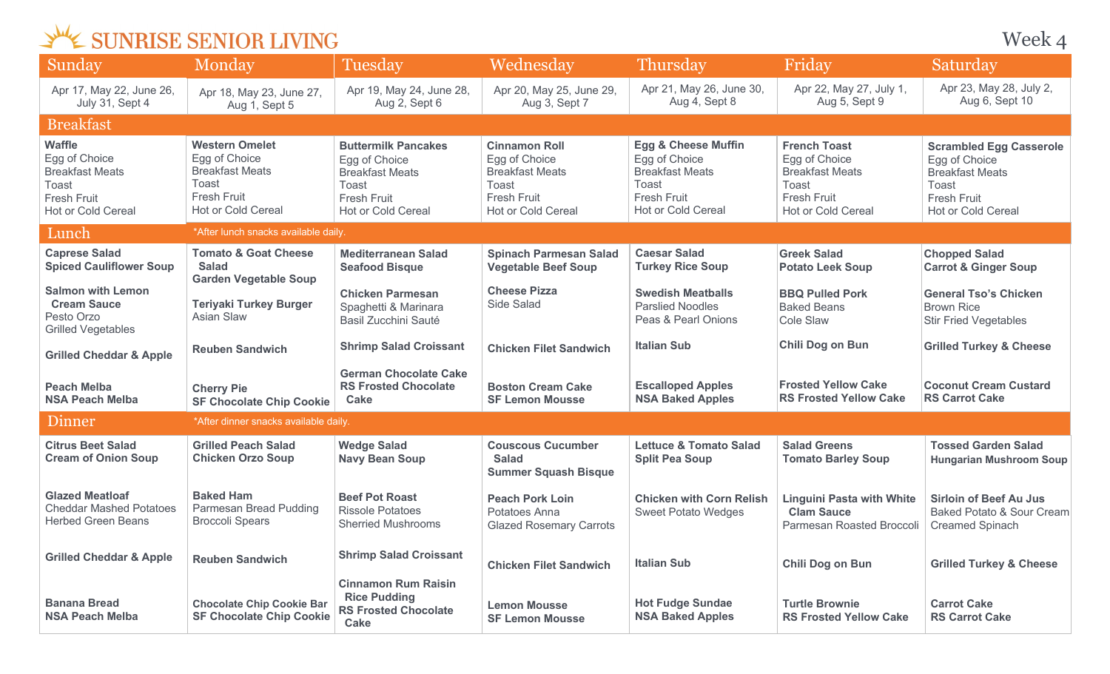| SUNRISE SENIOR LIVING |  |  |  |
|-----------------------|--|--|--|
|-----------------------|--|--|--|

Week 4

| Sunday                                                                                                               | Monday                                                                                                                | <b>Tuesday</b>                                                                                                                    | Wednesday                                                                                                            | Thursday                                                                                                                       | Friday                                                                                                              | Saturday                                                                                                                       |
|----------------------------------------------------------------------------------------------------------------------|-----------------------------------------------------------------------------------------------------------------------|-----------------------------------------------------------------------------------------------------------------------------------|----------------------------------------------------------------------------------------------------------------------|--------------------------------------------------------------------------------------------------------------------------------|---------------------------------------------------------------------------------------------------------------------|--------------------------------------------------------------------------------------------------------------------------------|
| Apr 17, May 22, June 26,<br>July 31, Sept 4                                                                          | Apr 18, May 23, June 27,<br>Aug 1, Sept 5                                                                             | Apr 19, May 24, June 28,<br>Aug 2, Sept 6                                                                                         | Apr 20, May 25, June 29,<br>Aug 3, Sept 7                                                                            | Apr 21, May 26, June 30,<br>Aug 4, Sept 8                                                                                      | Apr 22, May 27, July 1,<br>Aug 5, Sept 9                                                                            | Apr 23, May 28, July 2,<br>Aug 6, Sept 10                                                                                      |
| <b>Breakfast</b>                                                                                                     |                                                                                                                       |                                                                                                                                   |                                                                                                                      |                                                                                                                                |                                                                                                                     |                                                                                                                                |
| <b>Waffle</b><br>Egg of Choice<br><b>Breakfast Meats</b><br>Toast<br><b>Fresh Fruit</b><br><b>Hot or Cold Cereal</b> | <b>Western Omelet</b><br>Egg of Choice<br><b>Breakfast Meats</b><br>Toast<br><b>Fresh Fruit</b><br>Hot or Cold Cereal | <b>Buttermilk Pancakes</b><br>Egg of Choice<br><b>Breakfast Meats</b><br>Toast<br><b>Fresh Fruit</b><br><b>Hot or Cold Cereal</b> | <b>Cinnamon Roll</b><br>Egg of Choice<br><b>Breakfast Meats</b><br>Toast<br><b>Fresh Fruit</b><br>Hot or Cold Cereal | <b>Egg &amp; Cheese Muffin</b><br>Egg of Choice<br><b>Breakfast Meats</b><br>Toast<br><b>Fresh Fruit</b><br>Hot or Cold Cereal | <b>French Toast</b><br>Egg of Choice<br><b>Breakfast Meats</b><br>Toast<br><b>Fresh Fruit</b><br>Hot or Cold Cereal | <b>Scrambled Egg Casserole</b><br>Egg of Choice<br><b>Breakfast Meats</b><br>Toast<br><b>Fresh Fruit</b><br>Hot or Cold Cereal |
| Lunch                                                                                                                | *After lunch snacks available daily.                                                                                  |                                                                                                                                   |                                                                                                                      |                                                                                                                                |                                                                                                                     |                                                                                                                                |
| <b>Caprese Salad</b><br><b>Spiced Cauliflower Soup</b>                                                               | <b>Tomato &amp; Goat Cheese</b><br><b>Salad</b><br><b>Garden Vegetable Soup</b>                                       | <b>Mediterranean Salad</b><br><b>Seafood Bisque</b>                                                                               | <b>Spinach Parmesan Salad</b><br><b>Vegetable Beef Soup</b>                                                          | <b>Caesar Salad</b><br><b>Turkey Rice Soup</b>                                                                                 | <b>Greek Salad</b><br><b>Potato Leek Soup</b>                                                                       | <b>Chopped Salad</b><br><b>Carrot &amp; Ginger Soup</b>                                                                        |
| <b>Salmon with Lemon</b><br><b>Cream Sauce</b><br>Pesto Orzo<br><b>Grilled Vegetables</b>                            | <b>Teriyaki Turkey Burger</b><br>Asian Slaw                                                                           | <b>Chicken Parmesan</b><br>Spaghetti & Marinara<br>Basil Zucchini Sauté                                                           | <b>Cheese Pizza</b><br>Side Salad                                                                                    | <b>Swedish Meatballs</b><br><b>Parslied Noodles</b><br>Peas & Pearl Onions                                                     | <b>BBQ Pulled Pork</b><br><b>Baked Beans</b><br>Cole Slaw                                                           | <b>General Tso's Chicken</b><br><b>Brown Rice</b><br><b>Stir Fried Vegetables</b>                                              |
| <b>Grilled Cheddar &amp; Apple</b>                                                                                   | <b>Reuben Sandwich</b>                                                                                                | <b>Shrimp Salad Croissant</b>                                                                                                     | <b>Chicken Filet Sandwich</b>                                                                                        | <b>Italian Sub</b>                                                                                                             | Chili Dog on Bun                                                                                                    | <b>Grilled Turkey &amp; Cheese</b>                                                                                             |
| <b>Peach Melba</b><br><b>NSA Peach Melba</b>                                                                         | <b>Cherry Pie</b><br><b>SF Chocolate Chip Cookie</b>                                                                  | <b>German Chocolate Cake</b><br><b>RS Frosted Chocolate</b><br>Cake                                                               | <b>Boston Cream Cake</b><br><b>SF Lemon Mousse</b>                                                                   | <b>Escalloped Apples</b><br><b>NSA Baked Apples</b>                                                                            | <b>Frosted Yellow Cake</b><br><b>RS Frosted Yellow Cake</b>                                                         | <b>Coconut Cream Custard</b><br><b>RS Carrot Cake</b>                                                                          |
| Dinner                                                                                                               | *After dinner snacks available daily.                                                                                 |                                                                                                                                   |                                                                                                                      |                                                                                                                                |                                                                                                                     |                                                                                                                                |
| <b>Citrus Beet Salad</b><br><b>Cream of Onion Soup</b>                                                               | <b>Grilled Peach Salad</b><br><b>Chicken Orzo Soup</b>                                                                | <b>Wedge Salad</b><br><b>Navy Bean Soup</b>                                                                                       | <b>Couscous Cucumber</b><br><b>Salad</b><br><b>Summer Squash Bisque</b>                                              | <b>Lettuce &amp; Tomato Salad</b><br><b>Split Pea Soup</b>                                                                     | <b>Salad Greens</b><br><b>Tomato Barley Soup</b>                                                                    | <b>Tossed Garden Salad</b><br><b>Hungarian Mushroom Soup</b>                                                                   |
| <b>Glazed Meatloaf</b><br><b>Cheddar Mashed Potatoes</b><br><b>Herbed Green Beans</b>                                | <b>Baked Ham</b><br>Parmesan Bread Pudding<br><b>Broccoli Spears</b>                                                  | <b>Beef Pot Roast</b><br><b>Rissole Potatoes</b><br><b>Sherried Mushrooms</b>                                                     | <b>Peach Pork Loin</b><br>Potatoes Anna<br><b>Glazed Rosemary Carrots</b>                                            | <b>Chicken with Corn Relish</b><br><b>Sweet Potato Wedges</b>                                                                  | <b>Linguini Pasta with White</b><br><b>Clam Sauce</b><br>Parmesan Roasted Broccoli                                  | <b>Sirloin of Beef Au Jus</b><br>Baked Potato & Sour Cream<br><b>Creamed Spinach</b>                                           |
| <b>Grilled Cheddar &amp; Apple</b>                                                                                   | <b>Reuben Sandwich</b>                                                                                                | <b>Shrimp Salad Croissant</b>                                                                                                     | <b>Chicken Filet Sandwich</b>                                                                                        | <b>Italian Sub</b>                                                                                                             | <b>Chili Dog on Bun</b>                                                                                             | <b>Grilled Turkey &amp; Cheese</b>                                                                                             |
| <b>Banana Bread</b><br><b>NSA Peach Melba</b>                                                                        | <b>Chocolate Chip Cookie Bar</b><br><b>SF Chocolate Chip Cookie</b>                                                   | <b>Cinnamon Rum Raisin</b><br><b>Rice Pudding</b><br><b>RS Frosted Chocolate</b><br>Cake                                          | <b>Lemon Mousse</b><br><b>SF Lemon Mousse</b>                                                                        | <b>Hot Fudge Sundae</b><br><b>NSA Baked Apples</b>                                                                             | <b>Turtle Brownie</b><br><b>RS Frosted Yellow Cake</b>                                                              | <b>Carrot Cake</b><br><b>RS Carrot Cake</b>                                                                                    |